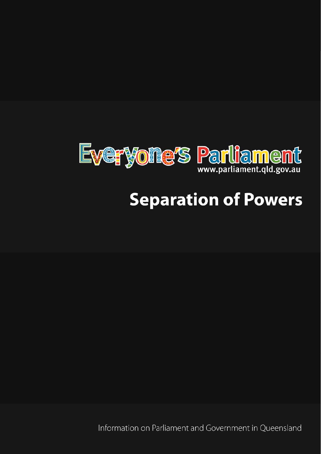

# **Separation of Powers**

Information on Parliament and Government in Oueensland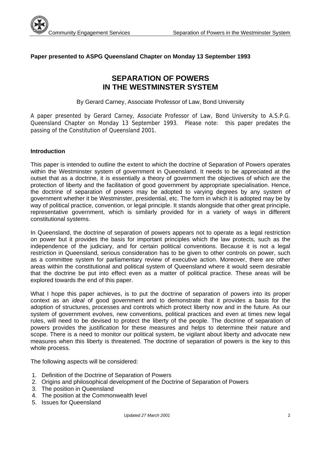

## **Paper presented to ASPG Queensland Chapter on Monday 13 September 1993**

## **SEPARATION OF POWERS IN THE WESTMINSTER SYSTEM**

By Gerard Carney, Associate Professor of Law, Bond University

A paper presented by Gerard Carney, Associate Professor of Law, Bond University to A.S.P.G. Queensland Chapter on Monday 13 September 1993. Please note: this paper predates the passing of the Constitution of Queensland 2001.

#### **Introduction**

This paper is intended to outline the extent to which the doctrine of Separation of Powers operates within the Westminster system of government in Queensland. It needs to be appreciated at the outset that as a doctrine, it is essentially a theory of government the objectives of which are the protection of liberty and the facilitation of good government by appropriate specialisation. Hence, the doctrine of separation of powers may be adopted to varying degrees by any system of government whether it be Westminster, presidential, etc. The form in which it is adopted may be by way of political practice, convention, or legal principle. It stands alongside that other great principle, representative government, which is similarly provided for in a variety of ways in different constitutional systems.

In Queensland, the doctrine of separation of powers appears not to operate as a legal restriction on power but it provides the basis for important principles which the law protects, such as the independence of the judiciary, and for certain political conventions. Because it is not a legal restriction in Queensland, serious consideration has to be given to other controls on power, such as a committee system for parliamentary review of executive action. Moreover, there are other areas within the constitutional and political system of Queensland where it would seem desirable that the doctrine be put into effect even as a matter of political practice. These areas will be explored towards the end of this paper.

What I hope this paper achieves, is to put the doctrine of separation of powers into its proper context as an *ideal* of good government and to demonstrate that it provides a basis for the adoption of structures, processes and controls which protect liberty now and in the future. As our system of government evolves, new conventions, political practices and even at times new legal rules, will need to be devised to protect the liberty of the people. The doctrine of separation of powers provides the justification for these measures and helps to determine their nature and scope. There is a need to monitor our political system, be vigilant about liberty and advocate new measures when this liberty is threatened. The doctrine of separation of powers is the key to this whole process.

The following aspects will be considered:

- 1. Definition of the Doctrine of Separation of Powers
- 2. Origins and philosophical development of the Doctrine of Separation of Powers
- 3. The position in Queensland
- 4. The position at the Commonwealth level
- 5. Issues for Queensland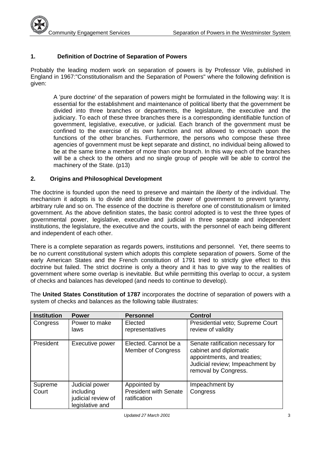## **1. Definition of Doctrine of Separation of Powers**

Probably the leading modern work on separation of powers is by Professor Vile, published in England in 1967:"Constitutionalism and the Separation of Powers" where the following definition is given:

A 'pure doctrine' of the separation of powers might be formulated in the following way: It is essential for the establishment and maintenance of political liberty that the government be divided into three branches or departments, the legislature, the executive and the judiciary. To each of these three branches there is a corresponding identifiable function of government, legislative, executive, or judicial. Each branch of the government must be confined to the exercise of its own function and not allowed to encroach upon the functions of the other branches. Furthermore, the persons who compose these three agencies of government must be kept separate and distinct, no individual being allowed to be at the same time a member of more than one branch. In this way each of the branches will be a check to the others and no single group of people will be able to control the machinery of the State. (p13)

## **2. Origins and Philosophical Development**

The doctrine is founded upon the need to preserve and maintain the *liberty* of the individual. The mechanism it adopts is to divide and distribute the power of government to prevent tyranny, arbitrary rule and so on. The essence of the doctrine is therefore one of constitutionalism or limited government. As the above definition states, the basic control adopted is to vest the three types of governmental power, legislative, executive and judicial in three separate and independent institutions, the legislature, the executive and the courts, with the personnel of each being different and independent of each other.

There is a complete separation as regards powers, institutions and personnel. Yet, there seems to be no current constitutional system which adopts this complete separation of powers. Some of the early American States and the French constitution of 1791 tried to strictly give effect to this doctrine but failed. The strict doctrine is only a theory and it has to give way to the realities of government where some overlap is inevitable. But while permitting this overlap to occur, a system of checks and balances has developed (and needs to continue to develop).

The **United States Constitution of 1787** incorporates the doctrine of separation of powers with a system of checks and balances as the following table illustrates:

| <b>Institution</b> | <b>Power</b>                                                         | <b>Personnel</b>                                             | <b>Control</b>                                                                                                                                        |
|--------------------|----------------------------------------------------------------------|--------------------------------------------------------------|-------------------------------------------------------------------------------------------------------------------------------------------------------|
| Congress           | Power to make<br>laws                                                | Elected<br>representatives                                   | Presidential veto; Supreme Court<br>review of validity                                                                                                |
| President          | Executive power                                                      | Elected. Cannot be a<br><b>Member of Congress</b>            | Senate ratification necessary for<br>cabinet and diplomatic<br>appointments, and treaties;<br>Judicial review; Impeachment by<br>removal by Congress. |
| Supreme<br>Court   | Judicial power<br>including<br>judicial review of<br>legislative and | Appointed by<br><b>President with Senate</b><br>ratification | Impeachment by<br>Congress                                                                                                                            |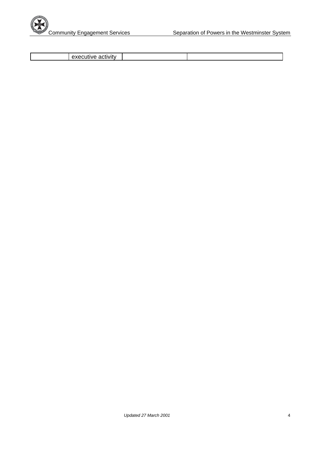

executive activity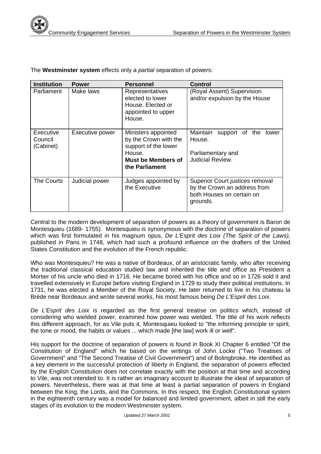| <b>Institution</b>                | <b>Power</b>    | <b>Personnel</b>                                                                                                              | <b>Control</b>                                                                                           |
|-----------------------------------|-----------------|-------------------------------------------------------------------------------------------------------------------------------|----------------------------------------------------------------------------------------------------------|
| Parliament                        | Make laws       | Representatives<br>elected to lower<br>House. Elected or<br>appointed to upper<br>House.                                      | (Royal Assent) Supervision<br>and/or expulsion by the House                                              |
| Executive<br>Council<br>(Cabinet) | Executive power | Ministers appointed<br>by the Crown with the<br>support of the lower<br>House.<br><b>Must be Members of</b><br>the Parliament | Maintain<br>support of the<br><b>lower</b><br>House.<br>Parliamentary and<br>Judicial Review.            |
| <b>The Courts</b>                 | Judicial power  | Judges appointed by<br>the Executive                                                                                          | Superior Court justices removal<br>by the Crown an address from<br>both Houses on certain on<br>grounds. |

The **Westminster system** effects only a *partial* separation of powers:

Central to the modern development of separation of powers as a theory of government is Baron de Montesquieu (1689- 1755). Montesquieu is synonymous with the doctrine of separation of powers which was first formulated in his magnum opus, *De L'Esprit des Loix (The Spirit of the Laws),*  published in Paris in 1748, which had such a profound influence on the drafters of the United States Constitution and the evolution of the French republic.

Who was Montesquieu? He was a native of Bordeaux, of an aristocratic family, who after receiving the traditional classical education studied law and inherited the title and office as President a Mortier of his uncle who died in 1716. He became bored with his office and so in 1726 sold it and travelled extensively in Europe before visiting England in 1729 to study their political institutions. In 1731, he was elected a Member of the Royal Society. He later returned to live in his chateau la Bréde near Bordeaux and wrote several works, his most famous being *De L'Esprit des Loix.* 

*De L'Esprit des Loix is* regarded as the first general treatise on politics which, instead of considering who wielded power, examined how power was wielded. The title of his work reflects this different approach, for as Vile puts it, Montesquieu looked to "the informing principle or spirit, the tone or mood, the habits or values ... which made [the law] work ill or well".

His support for the doctrine of separation of powers is found in Book XI Chapter 6 entitled "Of the Constitution of England" which he based on the writings of John Locke ("Two Treatises of Government" and "The Second Treatise of Civil Government") and of Bolingbroke. He identified as a key element in the successful protection of liberty in England, the separation of powers effected by the English Constitution does not correlate exactly with the position at that time and according to Vile, was not intended to. It is rather an imaginary account to illustrate the ideal of separation of powers. Nevertheless, there was at that time at least a partial separation of powers in England between the King, the Lords, and the Commons. In this respect, the English Constitutional system in the eighteenth century was a model for balanced and limited government, albeit in still the early stages of its evolution to the modern Westminster system.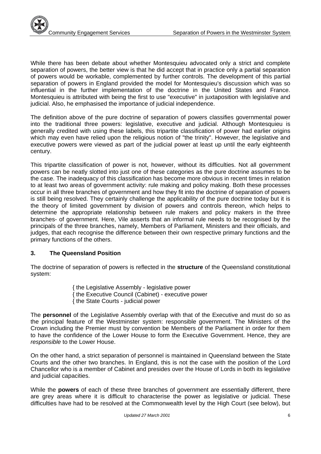While there has been debate about whether Montesquieu advocated only a strict and complete separation of powers, the better view is that he did accept that in practice only a partial separation of powers would be workable, complemented by further controls. The development of this partial separation of powers in England provided the model for Montesquieu's discussion which was so influential in the further implementation of the doctrine in the United States and France. Montesquieu is attributed with being the first to use "executive" in juxtaposition with legislative and judicial. Also, he emphasised the importance of judicial independence.

The definition above of the pure doctrine of separation of powers classifies governmental power into the traditional three powers: legislative, executive and judicial. Although Montesquieu is generally credited with using these labels, this tripartite classification of power had earlier origins which may even have relied upon the religious notion of "the trinity". However, the legislative and executive powers were viewed as part of the judicial power at least up until the early eighteenth century.

This tripartite classification of power is not, however, without its difficulties. Not all government powers can be neatly slotted into just one of these categories as the pure doctrine assumes to be the case. The inadequacy of this classification has become more obvious in recent times in relation to at least two areas of government activity: rule making and policy making. Both these processes occur in all three branches of government and how they fit into the doctrine of separation of powers is still being resolved. They certainly challenge the applicability of the pure doctrine today but it is the theory of limited government by division of powers and controls thereon, which helps to determine the appropriate relationship between rule makers and policy makers in the three branches- of government. Here, Vile asserts that an informal rule needs to be recognised by the principals of the three branches, namely, Members of Parliament, Ministers and their officials, and judges, that each recognise the difference between their own respective primary functions and the primary functions of the others.

## **3. The Queensland Position**

The doctrine of separation of powers is reflected in the **structure** of the Queensland constitutional system:

> { the Legislative Assembly - legislative power { the Executive Council (Cabinet) - executive power { the State Courts - judicial power

The **personnel** of the Legislative Assembly overlap with that of the Executive and must do so as the principal feature of the Westminster system: responsible government. The Ministers of the Crown including the Premier must by convention be Members of the Parliament in order for them to have the confidence of the Lower House to form the Executive Government. Hence, they are *responsible* to the Lower House.

On the other hand, a strict separation of personnel is maintained in Queensland between the State Courts and the other two branches. In England, this is not the case with the position of the Lord Chancellor who is a member of Cabinet and presides over the House of Lords in both its legislative and judicial capacities.

While the **powers** of each of these three branches of government are essentially different, there are grey areas where it is difficult to characterise the power as legislative or judicial. These difficulties have had to be resolved at the Commonwealth level by the High Court (see below), but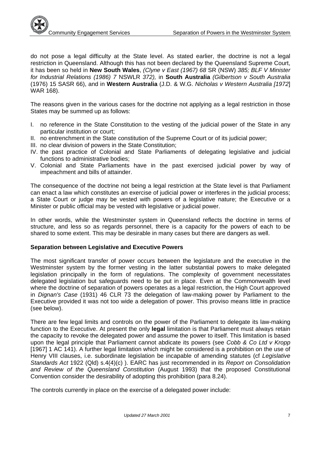do not pose a legal difficulty at the State level. As stated earlier, the doctrine is not a legal restriction in Queensland. Although this has not been declared by the Queensland Supreme Court, it has been so held in **New South Wales**, *(Clyne v East (1967) 68* SR (NSW) *385; BLF V Minister for Industrial Relations (1986) 7* NSWLR *372),* in **South Australia** *(Gilbertson v South Australia*  (1976) 15 SASR 66), and in **Western Australia** (J.D. & W.G. *Nicholas v Western Australia [1972*] WAR 168).

The reasons given in the various cases for the doctrine not applying as a legal restriction in those States may be summed up as follows:

- I. no reference in the State Constitution to the vesting of the judicial power of the State in any particular institution or court;
- II. no entrenchment in the State constitution of the Supreme Court or of its judicial power;
- III. no clear division of powers in the State Constitution;
- IV. the past practice of Colonial and State Parliaments of delegating legislative and judicial functions to administrative bodies;
- V. Colonial and State Parliaments have in the past exercised judicial power by way of impeachment and bills of attainder.

The consequence of the doctrine not being a legal restriction at the State level is that Parliament can enact a law which constitutes an exercise of judicial power or interferes in the judicial process; a State Court or judge may be vested with powers of a legislative nature; the Executive or a Minister or public official may be vested with legislative or judicial power.

In other words, while the Westminster system in Queensland reflects the doctrine in terms of structure, and less so as regards personnel, there is a capacity for the powers of each to be shared to some extent. This may be desirable in many cases but there are dangers as well.

#### **Separation between Legislative and Executive Powers**

The most significant transfer of power occurs between the legislature and the executive in the Westminster system by the former vesting in the latter substantial powers to make delegated legislation principally in the form of regulations. The complexity of government necessitates delegated legislation but safeguards need to be put in place. Even at the Commonwealth level where the doctrine of separation of powers operates as a legal restriction, the High Court approved in *Dignan's Case* (1931) 46 CLR 73 the delegation of law-making power by Parliament to the Executive provided it was not too wide a delegation of power. This proviso means little in practice (see below).

There are few legal limits and controls on the power of the Parliament to delegate its law-making function to the Executive. At present the only **legal** limitation is that Parliament must always retain the capacity to revoke the delegated power and assume the power to itself. This limitation is based upon the legal principle that Parliament cannot abdicate its powers (see *Cobb & Co Ltd v Kropp*  [1967] 1 AC 141). A further legal limitation which might be considered is a prohibition on the use of Henry VIII clauses, i.e. subordinate legislation be incapable of amending statutes (cf *Legislative Standards Act* 1922 (Qld) s.4(4)(c) ). EARC has just recommended in its *Report on Consolidation and Review of the Queensland Constitution* (August 1993) that the proposed Constitutional Convention consider the desirability of adopting this prohibition (para 8.24).

The controls currently in place on the exercise of a delegated power include: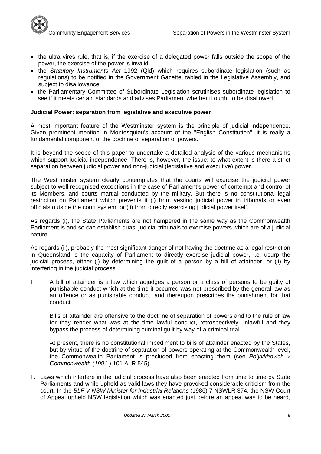- $\bullet$  the ultra vires rule, that is, if the exercise of a delegated power falls outside the scope of the power, the exercise of the power is invalid;
- the *Statutory Instruments Act* 1992 (Qld) which requires subordinate legislation (such as regulations) to be notified in the Government Gazette, tabled in the Legislative Assembly, and subject to disallowance;
- the Parliamentary Committee of Subordinate Legislation scrutinises subordinate legislation to see if it meets certain standards and advises Parliament whether it ought to be disallowed.

## **Judicial Power: separation from legislative and executive power**

A most important feature of the Westminster system is the principle of judicial independence. Given prominent mention in Montesquieu's account of the "English Constitution", it is really a fundamental component of the doctrine of separation of powers.

It is beyond the scope of this paper to undertake a detailed analysis of the various mechanisms which support judicial independence. There is, however, the issue: to what extent is there a strict separation between judicial power and non-judicial (legislative and executive) power.

The Westminster system clearly contemplates that the courts will exercise the judicial power subject to well recognised exceptions in the case of Parliament's power of contempt and control of its Members, and courts martial conducted by the military. But there is no constitutional legal restriction on Parliament which prevents it (i) from vesting judicial power in tribunals or even officials outside the court system, or (ii) from directly exercising judicial power itself.

As regards (i), the State Parliaments are not hampered in the same way as the Commonwealth Parliament is and so can establish quasi-judicial tribunals to exercise powers which are of a judicial nature.

As regards (ii), probably the most significant danger of not having the doctrine as a legal restriction in Queensland is the capacity of Parliament to directly exercise judicial power, i.e. usurp the judicial process, either (i) by determining the guilt of a person by a bill of attainder, or (ii) by interfering in the judicial process.

I. A bill of attainder is a law which adjudges a person or a class of persons to be guilty of punishable conduct which at the time it occurred was not prescribed by the general law as an offence or as punishable conduct, and thereupon prescribes the punishment for that conduct.

Bills of attainder are offensive to the doctrine of separation of powers and to the rule of law for they render what was at the time lawful conduct, retrospectively unlawful and they bypass the process of determining criminal guilt by way of a criminal trial.

At present, there is no constitutional impediment to bills of attainder enacted by the States, but by virtue of the doctrine of separation of powers operating at the Commonwealth level, the Commonwealth Parliament is precluded from enacting them (see *Polyvkhovich v Commonwealth (1991* ) 101 ALR 545).

II. Laws which interfere in the judicial process have also been enacted from time to time by State Parliaments and while upheld as valid laws they have provoked considerable criticism from the court. In the *BLF V NSW Minister for Industrial Relations* (1986) 7 NSWLR 374, the NSW Court of Appeal upheld NSW legislation which was enacted just before an appeal was to be heard,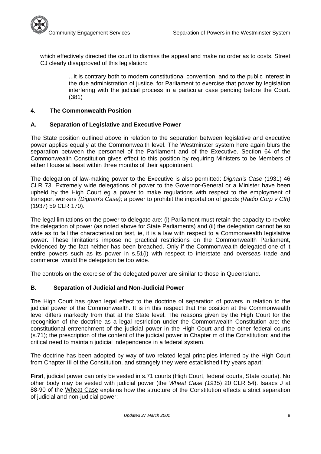

which effectively directed the court to dismiss the appeal and make no order as to costs. Street CJ clearly disapproved of this legislation:

> ...it is contrary both to modern constitutional convention, and to the public interest in the due administration of justice, for Parliament to exercise that power by legislation interfering with the judicial process in a particular case pending before the Court. (381)

## **4. The Commonwealth Position**

## **A. Separation of Legislative and Executive Power**

The State position outlined above in relation to the separation between legislative and executive power applies equally at the Commonwealth level. The Westminster system here again blurs the separation between the personnel of the Parliament and of the Executive. Section 64 of the Commonwealth Constitution gives effect to this position by requiring Ministers to be Members of either House at least within three months of their appointment.

The delegation of law-making power to the Executive is also permitted: *Dignan's Case* (1931) 46 CLR 73. Extremely wide delegations of power to the Governor-General or a Minister have been upheld by the High Court eg a power to make regulations with respect to the employment of transport workers *(Dignan's Case);* a power to prohibit the importation of goods *(Radio Corp v Cth)*  (1937) 59 CLR 170).

The legal limitations on the power to delegate are: (i) Parliament must retain the capacity to revoke the delegation of power (as noted above for State Parliaments) and (ii) the delegation cannot be so wide as to fail the characterisation test, ie, it is a law with respect to a Commonwealth legislative power. These limitations impose no practical restrictions on the Commonwealth Parliament, evidenced by the fact neither has been breached. Only if the Commonwealth delegated one of it entire powers such as its power in s.51(i) with respect to interstate and overseas trade and commerce, would the delegation be too wide.

The controls on the exercise of the delegated power are similar to those in Queensland.

## **B. Separation of Judicial and Non-Judicial Power**

The High Court has given legal effect to the doctrine of separation of powers in relation to the judicial power of the Commonwealth. It is in this respect that the position at the Commonwealth level differs markedly from that at the State level. The reasons given by the High Court for the recognition of the doctrine as a legal restriction under the Commonwealth Constitution are: the constitutional entrenchment of the judicial power in the High Court and the other federal courts (s.71); the prescription of the content of the judicial power in Chapter m of the Constitution; and the critical need to maintain judicial independence in a federal system.

The doctrine has been adopted by way of two related legal principles inferred by the High Court from Chapter III of the Constitution, and strangely they were established fifty years apart!

**First**, judicial power can only be vested in s.71 courts (High Court, federal courts, State courts). No other body may be vested with judicial power (the *Wheat Case (1915*) 20 CLR 54). Isaacs J at 88-90 of the Wheat Case explains how the structure of the Constitution effects a strict separation of judicial and non-judicial power: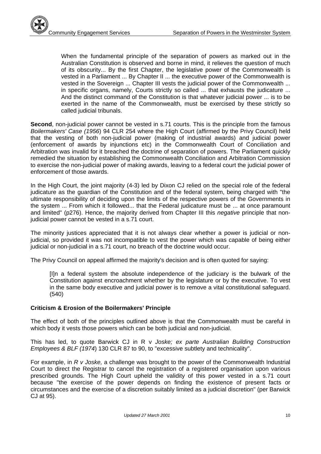When the fundamental principle of the separation of powers as marked out in the Australian Constitution is observed and borne in mind, it relieves the question of much of its obscurity... By the first Chapter, the legislative power of the Commonwealth is vested in a Parliament ... By Chapter II ... the executive power of the Commonwealth is vested in the Sovereign ... Chapter III vests the judicial power of the Commonwealth ... in specific organs, namely, Courts strictly so called ... that exhausts the judicature ... And the distinct command of the Constitution is that whatever judicial power ... is to be exerted in the name of the Commonwealth, must be exercised by these strictly so called judicial tribunals.

**Second**, non-judicial power cannot be vested in s.71 courts. This is the principle from the famous *Boilermakers' Case (1956*) 94 CLR 254 where the High Court (affirmed by the Privy Council) held that the vesting of both non-judicial power (making of industrial awards) and judicial power (enforcement of awards by injunctions etc) in the Commonwealth Court of Conciliation and Arbitration was invalid for it breached the doctrine of separation of powers. The Parliament quickly remedied the situation by establishing the Commonwealth Conciliation and Arbitration Commission to exercise the non-judicial power of making awards, leaving to a federal court the judicial power of enforcement of those awards.

In the High Court, the joint majority (4-3) led by Dixon CJ relied on the special role of the federal judicature as the guardian of the Constitution and of the federal system, being charged with "the ultimate responsibility of deciding upon the limits of the respective powers of the Governments in the system ... From which it followed... that the Federal judicature must be ... at once paramount and limited" (p276). Hence, the majority derived from Chapter III this *negative* principle that nonjudicial power cannot be vested in a s.71 court.

The minority justices appreciated that it is not always clear whether a power is judicial or nonjudicial, so provided it was not incompatible to vest the power which was capable of being either judicial or non-judicial in a s.71 court, no breach of the doctrine would occur.

The Privy Council on appeal affirmed the majority's decision and is often quoted for saying:

[I]n a federal system the absolute independence of the judiciary is the bulwark of the Constitution against encroachment whether by the legislature or by the executive. To vest in the same body executive and judicial power is to remove a vital constitutional safeguard. (540)

## **Criticism & Erosion of the Boilermakers' Principle**

The effect of both of the principles outlined above is that the Commonwealth must be careful in which body it vests those powers which can be both judicial and non-judicial.

This has led, to quote Barwick CJ in R v *Joske; ex parte Australian Building Construction Employees & BLF (1974*) 130 CLR 87 to 90, to "excessive subtlety and technicality".

For example, in *R v Joske,* a challenge was brought to the power of the Commonwealth Industrial Court to direct the Registrar to cancel the registration of a registered organisation upon various prescribed grounds. The High Court upheld the validity of this power vested in a s.71 court because "the exercise of the power depends on finding the existence of present facts or circumstances and the exercise of a discretion suitably limited as a judicial discretion" (per Barwick CJ at 95).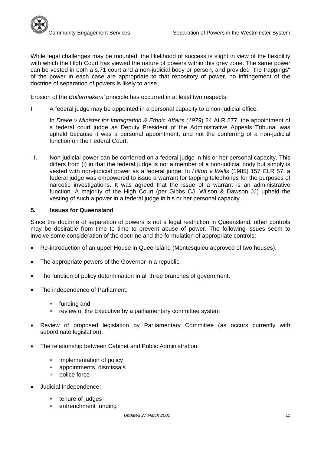While legal challenges may be mounted, the likelihood of success is slight in view of the flexibility with which the High Court has viewed the nature of powers within this grey zone. The same power can be vested in both a s.71 court and a non-judicial body or person, and provided "the trappings" of the power in each case are appropriate to that repository of power, no infringement of the doctrine of separation of powers is likely to arise.

Erosion of the *Boilermakers'* principle has occurred in at least two respects:

I. A federal judge may be appointed in a personal capacity to a non-judicial office.

In *Drake v Minister for Immigration & Ethnic Affairs (1979*) 24 ALR 577, the appointment of a federal court judge as Deputy President of the Administrative Appeals Tribunal was upheld because it was a personal appointment, and not the conferring of a non-judicial function on the Federal Court.

II. Non-judicial power can be conferred on a federal judge in his or her personal capacity. This differs from (i) in that the federal judge is not a member of a non-judicial body but simply is vested with non-judicial power as a federal judge. In *Hilton v Wells* (1985) 157 CLR 57, a federal judge was empowered to issue a warrant for tapping telephones for the purposes of narcotic investigations. It was agreed that the issue of a warrant is an administrative function. A majority of the High Court (per Gibbs CJ, Wilson & Dawson JJ) upheld the vesting of such a power in a federal judge in his or her personal capacity.

#### **5. Issues for Queensland**

Since the doctrine of separation of powers is not a legal restriction in Queensland, other controls may be desirable from time to time to prevent abuse of power. The following issues seem to involve some consideration of the doctrine and the formulation of appropriate controls:

- Re-introduction of an upper House in Queensland (Montesquieu approved of two houses).
- The appropriate powers of the Governor in a republic.
- The function of policy determination in all three branches of government.
- The independence of Parliament:
	- funding and
	- review of the Executive by a parliamentary committee system
- Review of proposed legislation by Parliamentary Committee (as occurs currently with subordinate legislation).
- The relationship between Cabinet and Public Administration:
	- implementation of policy
	- appointments, dismissals
	- police force
- Judicial Independence:
	- \* tenure of judges
	- entrenchment funding